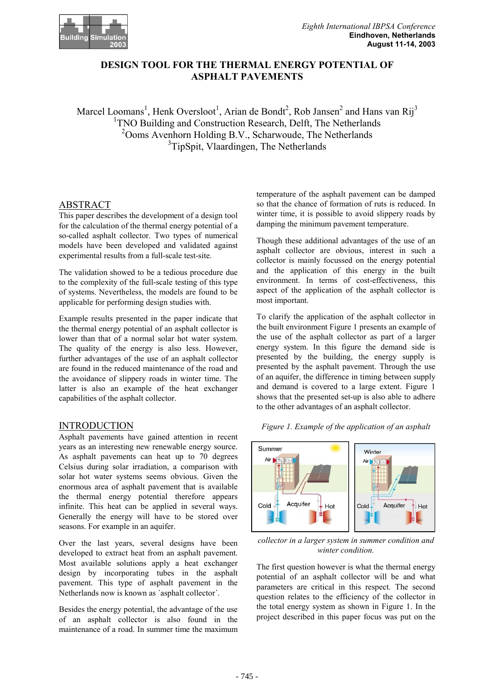

# **DESIGN TOOL FOR THE THERMAL ENERGY POTENTIAL OF ASPHALT PAVEMENTS**

Marcel Loomans<sup>1</sup>, Henk Oversloot<sup>1</sup>, Arian de Bondt<sup>2</sup>, Rob Jansen<sup>2</sup> and Hans van Rij<sup>3</sup> <sup>1</sup> TNO Building and Construction Research, Delft, The Netherlands <sup>2</sup>Ooms Avenhorn Holding B.V., Scharwoude, The Netherlands <sup>3</sup>TipSpit, Vlaardingen, The Netherlands

# ABSTRACT

This paper describes the development of a design tool for the calculation of the thermal energy potential of a so-called asphalt collector. Two types of numerical models have been developed and validated against experimental results from a full-scale test-site.

The validation showed to be a tedious procedure due to the complexity of the full-scale testing of this type of systems. Nevertheless, the models are found to be applicable for performing design studies with.

Example results presented in the paper indicate that the thermal energy potential of an asphalt collector is lower than that of a normal solar hot water system. The quality of the energy is also less. However, further advantages of the use of an asphalt collector are found in the reduced maintenance of the road and the avoidance of slippery roads in winter time. The latter is also an example of the heat exchanger capabilities of the asphalt collector.

### INTRODUCTION

Asphalt pavements have gained attention in recent years as an interesting new renewable energy source. As asphalt pavements can heat up to 70 degrees Celsius during solar irradiation, a comparison with solar hot water systems seems obvious. Given the enormous area of asphalt pavement that is available the thermal energy potential therefore appears infinite. This heat can be applied in several ways. Generally the energy will have to be stored over seasons. For example in an aquifer.

Over the last years, several designs have been developed to extract heat from an asphalt pavement. Most available solutions apply a heat exchanger design by incorporating tubes in the asphalt pavement. This type of asphalt pavement in the Netherlands now is known as ´asphalt collector´.

Besides the energy potential, the advantage of the use of an asphalt collector is also found in the maintenance of a road. In summer time the maximum

temperature of the asphalt pavement can be damped so that the chance of formation of ruts is reduced. In winter time, it is possible to avoid slippery roads by damping the minimum pavement temperature.

Though these additional advantages of the use of an asphalt collector are obvious, interest in such a collector is mainly focussed on the energy potential and the application of this energy in the built environment. In terms of cost-effectiveness, this aspect of the application of the asphalt collector is most important.

To clarify the application of the asphalt collector in the built environment Figure 1 presents an example of the use of the asphalt collector as part of a larger energy system. In this figure the demand side is presented by the building, the energy supply is presented by the asphalt pavement. Through the use of an aquifer, the difference in timing between supply and demand is covered to a large extent. Figure 1 shows that the presented set-up is also able to adhere to the other advantages of an asphalt collector.

*Figure 1. Example of the application of an asphalt*



*collector in a larger system in summer condition and winter condition.*

The first question however is what the thermal energy potential of an asphalt collector will be and what parameters are critical in this respect. The second question relates to the efficiency of the collector in the total energy system as shown in Figure 1. In the project described in this paper focus was put on the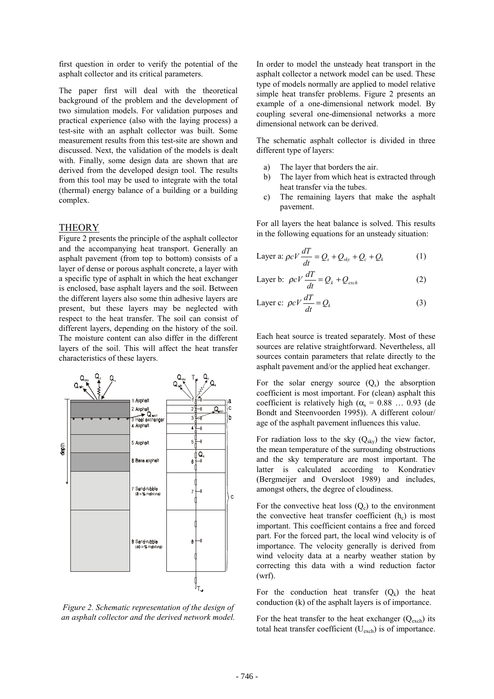first question in order to verify the potential of the asphalt collector and its critical parameters.

The paper first will deal with the theoretical background of the problem and the development of two simulation models. For validation purposes and practical experience (also with the laying process) a test-site with an asphalt collector was built. Some measurement results from this test-site are shown and discussed. Next, the validation of the models is dealt with. Finally, some design data are shown that are derived from the developed design tool. The results from this tool may be used to integrate with the total (thermal) energy balance of a building or a building complex.

### **THEORY**

Figure 2 presents the principle of the asphalt collector and the accompanying heat transport. Generally an asphalt pavement (from top to bottom) consists of a layer of dense or porous asphalt concrete, a layer with a specific type of asphalt in which the heat exchanger is enclosed, base asphalt layers and the soil. Between the different layers also some thin adhesive layers are present, but these layers may be neglected with respect to the heat transfer. The soil can consist of different layers, depending on the history of the soil. The moisture content can also differ in the different layers of the soil. This will affect the heat transfer characteristics of these layers.



*Figure 2. Schematic representation of the design of an asphalt collector and the derived network model.*

In order to model the unsteady heat transport in the asphalt collector a network model can be used. These type of models normally are applied to model relative simple heat transfer problems. Figure 2 presents an example of a one-dimensional network model. By coupling several one-dimensional networks a more dimensional network can be derived.

The schematic asphalt collector is divided in three different type of layers:

- a) The layer that borders the air.
- b) The layer from which heat is extracted through heat transfer via the tubes.
- c) The remaining layers that make the asphalt pavement.

For all layers the heat balance is solved. This results in the following equations for an unsteady situation:

Layer a: 
$$
\rho c V \frac{dT}{dt} = Q_s + Q_{sky} + Q_c + Q_k
$$
 (1)

Layer b: 
$$
\rho c V \frac{dT}{dt} = Q_k + Q_{exch}
$$
 (2)

Layer c: 
$$
\rho c V \frac{dT}{dt} = Q_k
$$
 (3)

Each heat source is treated separately. Most of these sources are relative straightforward. Nevertheless, all sources contain parameters that relate directly to the asphalt pavement and/or the applied heat exchanger.

For the solar energy source  $(Q_s)$  the absorption coefficient is most important. For (clean) asphalt this coefficient is relatively high ( $\alpha_s = 0.88$  ... 0.93 (de Bondt and Steenvoorden 1995)). A different colour/ age of the asphalt pavement influences this value.

For radiation loss to the sky  $(Q_{sky})$  the view factor, the mean temperature of the surrounding obstructions and the sky temperature are most important. The latter is calculated according to Kondratiev (Bergmeijer and Oversloot 1989) and includes, amongst others, the degree of cloudiness.

For the convective heat loss  $(O<sub>c</sub>)$  to the environment the convective heat transfer coefficient  $(h<sub>c</sub>)$  is most important. This coefficient contains a free and forced part. For the forced part, the local wind velocity is of importance. The velocity generally is derived from wind velocity data at a nearby weather station by correcting this data with a wind reduction factor (wrf).

For the conduction heat transfer  $(Q_k)$  the heat conduction (k) of the asphalt layers is of importance.

For the heat transfer to the heat exchanger  $(Q_{\text{exch}})$  its total heat transfer coefficient  $(U_{\text{exch}})$  is of importance.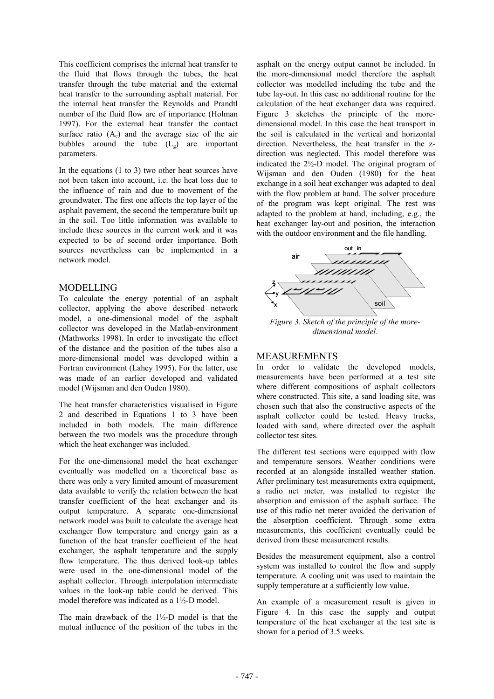This coefficient comprises the internal heat transfer to the fluid that flows through the tubes, the heat transfer through the tube material and the external heat transfer to the surrounding asphalt material. For the internal heat transfer the Reynolds and Prandtl number of the fluid flow are of importance (Holman 1997). For the external heat transfer the contact surface ratio  $(A<sub>c</sub>)$  and the average size of the air bubbles around the tube  $(L<sub>g</sub>)$  are important parameters.

In the equations (1 to 3) two other heat sources have not been taken into account, i.e. the heat loss due to the influence of rain and due to movement of the groundwater. The first one affects the top layer of the asphalt pavement, the second the temperature built up in the soil. Too little information was available to include these sources in the current work and it was expected to be of second order importance. Both sources nevertheless can be implemented in a network model.

# MODELLING

To calculate the energy potential of an asphalt collector, applying the above described network model, a one-dimensional model of the asphalt collector was developed in the Matlab-environment (Mathworks 1998). In order to investigate the effect of the distance and the position of the tubes also a more-dimensional model was developed within a Fortran environment (Lahey 1995). For the latter, use was made of an earlier developed and validated model (Wijsman and den Ouden 1980).

The heat transfer characteristics visualised in Figure 2 and described in Equations 1 to 3 have been included in both models. The main difference between the two models was the procedure through which the heat exchanger was included.

For the one-dimensional model the heat exchanger eventually was modelled on a theoretical base as there was only a very limited amount of measurement data available to verify the relation between the heat transfer coefficient of the heat exchanger and its output temperature. A separate one-dimensional network model was built to calculate the average heat exchanger flow temperature and energy gain as a function of the heat transfer coefficient of the heat exchanger, the asphalt temperature and the supply flow temperature. The thus derived look-up tables were used in the one-dimensional model of the asphalt collector. Through interpolation intermediate values in the look-up table could be derived. This model therefore was indicated as a 1½-D model.

The main drawback of the 1½-D model is that the mutual influence of the position of the tubes in the

asphalt on the energy output cannot be included. In the more-dimensional model therefore the asphalt collector was modelled including the tube and the tube lay-out. In this case no additional routine for the calculation of the heat exchanger data was required. Figure 3 sketches the principle of the moredimensional model. In this case the heat transport in the soil is calculated in the vertical and horizontal direction. Nevertheless, the heat transfer in the zdirection was neglected. This model therefore was indicated the 2½-D model. The original program of Wijsman and den Ouden (1980) for the heat exchange in a soil heat exchanger was adapted to deal with the flow problem at hand. The solver procedure of the program was kept original. The rest was adapted to the problem at hand, including, e.g., the heat exchanger lay-out and position, the interaction with the outdoor environment and the file handling.



*dimensional model.*

# MEASUREMENTS

In order to validate the developed models, measurements have been performed at a test site where different compositions of asphalt collectors where constructed. This site, a sand loading site, was chosen such that also the constructive aspects of the asphalt collector could be tested. Heavy trucks, loaded with sand, where directed over the asphalt collector test sites.

The different test sections were equipped with flow and temperature sensors. Weather conditions were recorded at an alongside installed weather station. After preliminary test measurements extra equipment, a radio net meter, was installed to register the absorption and emission of the asphalt surface. The use of this radio net meter avoided the derivation of the absorption coefficient. Through some extra measurements, this coefficient eventually could be derived from these measurement results.

Besides the measurement equipment, also a control system was installed to control the flow and supply temperature. A cooling unit was used to maintain the supply temperature at a sufficiently low value.

An example of a measurement result is given in Figure 4. In this case the supply and output temperature of the heat exchanger at the test site is shown for a period of 3.5 weeks.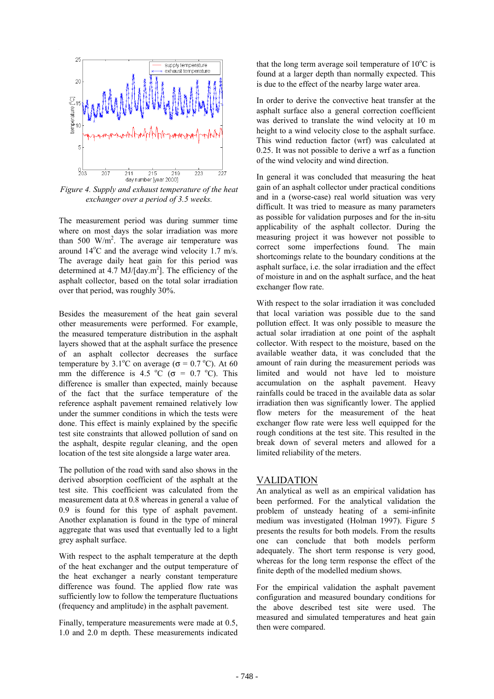

*Figure 4. Supply and exhaust temperature of the heat exchanger over a period of 3.5 weeks.*

The measurement period was during summer time where on most days the solar irradiation was more than 500 W/m<sup>2</sup>. The average air temperature was around  $14^{\circ}$ C and the average wind velocity 1.7 m/s. The average daily heat gain for this period was determined at 4.7  $MJ/day.m^2$ ]. The efficiency of the asphalt collector, based on the total solar irradiation over that period, was roughly 30%.

Besides the measurement of the heat gain several other measurements were performed. For example, the measured temperature distribution in the asphalt layers showed that at the asphalt surface the presence of an asphalt collector decreases the surface temperature by  $3.1^{\circ}$ C on average ( $\sigma = 0.7^{\circ}$ C). At 60 mm the difference is 4.5  $^{\circ}$ C ( $\sigma$  = 0.7  $^{\circ}$ C). This difference is smaller than expected, mainly because of the fact that the surface temperature of the reference asphalt pavement remained relatively low under the summer conditions in which the tests were done. This effect is mainly explained by the specific test site constraints that allowed pollution of sand on the asphalt, despite regular cleaning, and the open location of the test site alongside a large water area.

The pollution of the road with sand also shows in the derived absorption coefficient of the asphalt at the test site. This coefficient was calculated from the measurement data at 0.8 whereas in general a value of 0.9 is found for this type of asphalt pavement. Another explanation is found in the type of mineral aggregate that was used that eventually led to a light grey asphalt surface.

With respect to the asphalt temperature at the depth of the heat exchanger and the output temperature of the heat exchanger a nearly constant temperature difference was found. The applied flow rate was sufficiently low to follow the temperature fluctuations (frequency and amplitude) in the asphalt pavement.

Finally, temperature measurements were made at 0.5, 1.0 and 2.0 m depth. These measurements indicated that the long term average soil temperature of  $10^{\circ}$ C is found at a larger depth than normally expected. This is due to the effect of the nearby large water area.

In order to derive the convective heat transfer at the asphalt surface also a general correction coefficient was derived to translate the wind velocity at 10 m height to a wind velocity close to the asphalt surface. This wind reduction factor (wrf) was calculated at 0.25. It was not possible to derive a wrf as a function of the wind velocity and wind direction.

In general it was concluded that measuring the heat gain of an asphalt collector under practical conditions and in a (worse-case) real world situation was very difficult. It was tried to measure as many parameters as possible for validation purposes and for the in-situ applicability of the asphalt collector. During the measuring project it was however not possible to correct some imperfections found. The main shortcomings relate to the boundary conditions at the asphalt surface, i.e. the solar irradiation and the effect of moisture in and on the asphalt surface, and the heat exchanger flow rate.

With respect to the solar irradiation it was concluded that local variation was possible due to the sand pollution effect. It was only possible to measure the actual solar irradiation at one point of the asphalt collector. With respect to the moisture, based on the available weather data, it was concluded that the amount of rain during the measurement periods was limited and would not have led to moisture accumulation on the asphalt pavement. Heavy rainfalls could be traced in the available data as solar irradiation then was significantly lower. The applied flow meters for the measurement of the heat exchanger flow rate were less well equipped for the rough conditions at the test site. This resulted in the break down of several meters and allowed for a limited reliability of the meters.

#### VALIDATION

An analytical as well as an empirical validation has been performed. For the analytical validation the problem of unsteady heating of a semi-infinite medium was investigated (Holman 1997). Figure 5 presents the results for both models. From the results one can conclude that both models perform adequately. The short term response is very good, whereas for the long term response the effect of the finite depth of the modelled medium shows.

For the empirical validation the asphalt pavement configuration and measured boundary conditions for the above described test site were used. The measured and simulated temperatures and heat gain then were compared.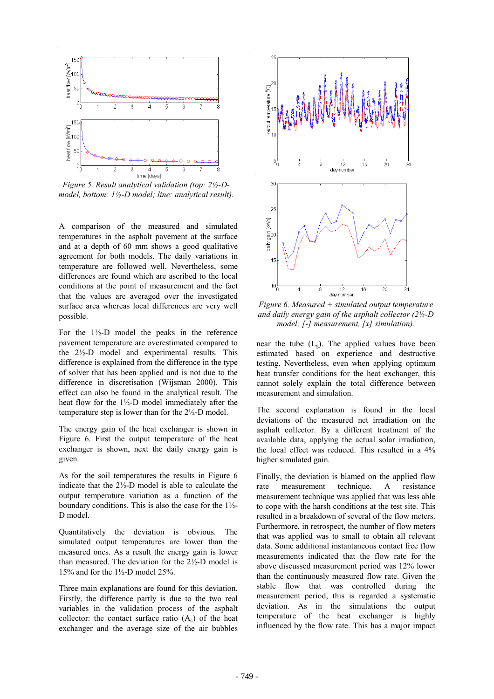

*Figure 5. Result analytical validation (top: 2½-Dmodel, bottom: 1½-D model; line: analytical result).*

A comparison of the measured and simulated temperatures in the asphalt pavement at the surface and at a depth of 60 mm shows a good qualitative agreement for both models. The daily variations in temperature are followed well. Nevertheless, some differences are found which are ascribed to the local conditions at the point of measurement and the fact that the values are averaged over the investigated surface area whereas local differences are very well possible.

For the  $1\frac{1}{2}$ -D model the peaks in the reference pavement temperature are overestimated compared to the 2½-D model and experimental results. This difference is explained from the difference in the type of solver that has been applied and is not due to the difference in discretisation (Wijsman 2000). This effect can also be found in the analytical result. The heat flow for the 1½-D model immediately after the temperature step is lower than for the 2½-D model.

The energy gain of the heat exchanger is shown in Figure 6. First the output temperature of the heat exchanger is shown, next the daily energy gain is given.

As for the soil temperatures the results in Figure 6 indicate that the 2½-D model is able to calculate the output temperature variation as a function of the boundary conditions. This is also the case for the  $1\frac{1}{2}$ -D model.

Quantitatively the deviation is obvious. The simulated output temperatures are lower than the measured ones. As a result the energy gain is lower than measured. The deviation for the 2½-D model is 15% and for the  $1\frac{1}{2}$ -D model 25%.

Three main explanations are found for this deviation. Firstly, the difference partly is due to the two real variables in the validation process of the asphalt collector: the contact surface ratio  $(A<sub>c</sub>)$  of the heat exchanger and the average size of the air bubbles



*Figure 6. Measured + simulated output temperature and daily energy gain of the asphalt collector (2½-D model; [-] measurement, [x] simulation).*

near the tube  $(L_g)$ . The applied values have been estimated based on experience and destructive testing. Nevertheless, even when applying optimum heat transfer conditions for the heat exchanger, this cannot solely explain the total difference between measurement and simulation.

The second explanation is found in the local deviations of the measured net irradiation on the asphalt collector. By a different treatment of the available data, applying the actual solar irradiation, the local effect was reduced. This resulted in a 4% higher simulated gain.

Finally, the deviation is blamed on the applied flow rate measurement technique. A resistance measurement technique was applied that was less able to cope with the harsh conditions at the test site. This resulted in a breakdown of several of the flow meters. Furthermore, in retrospect, the number of flow meters that was applied was to small to obtain all relevant data. Some additional instantaneous contact free flow measurements indicated that the flow rate for the above discussed measurement period was 12% lower than the continuously measured flow rate. Given the stable flow that was controlled during the measurement period, this is regarded a systematic deviation. As in the simulations the output temperature of the heat exchanger is highly influenced by the flow rate. This has a major impact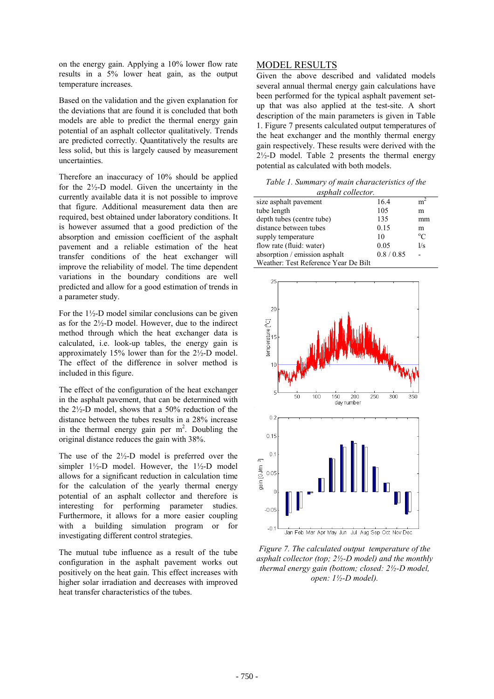on the energy gain. Applying a 10% lower flow rate results in a 5% lower heat gain, as the output temperature increases.

Based on the validation and the given explanation for the deviations that are found it is concluded that both models are able to predict the thermal energy gain potential of an asphalt collector qualitatively. Trends are predicted correctly. Quantitatively the results are less solid, but this is largely caused by measurement uncertainties.

Therefore an inaccuracy of 10% should be applied for the 2½-D model. Given the uncertainty in the currently available data it is not possible to improve that figure. Additional measurement data then are required, best obtained under laboratory conditions. It is however assumed that a good prediction of the absorption and emission coefficient of the asphalt pavement and a reliable estimation of the heat transfer conditions of the heat exchanger will improve the reliability of model. The time dependent variations in the boundary conditions are well predicted and allow for a good estimation of trends in a parameter study.

For the 1½-D model similar conclusions can be given as for the 2½-D model. However, due to the indirect method through which the heat exchanger data is calculated, i.e. look-up tables, the energy gain is approximately 15% lower than for the 2½-D model. The effect of the difference in solver method is included in this figure.

The effect of the configuration of the heat exchanger in the asphalt pavement, that can be determined with the 2½-D model, shows that a 50% reduction of the distance between the tubes results in a 28% increase in the thermal energy gain per  $m^2$ . Doubling the original distance reduces the gain with 38%.

The use of the 2½-D model is preferred over the simpler  $1\frac{1}{2}$ -D model. However, the  $1\frac{1}{2}$ -D model allows for a significant reduction in calculation time for the calculation of the yearly thermal energy potential of an asphalt collector and therefore is interesting for performing parameter studies. Furthermore, it allows for a more easier coupling with a building simulation program or for investigating different control strategies.

The mutual tube influence as a result of the tube configuration in the asphalt pavement works out positively on the heat gain. This effect increases with higher solar irradiation and decreases with improved heat transfer characteristics of the tubes.

# MODEL RESULTS

Given the above described and validated models several annual thermal energy gain calculations have been performed for the typical asphalt pavement setup that was also applied at the test-site. A short description of the main parameters is given in Table 1. Figure 7 presents calculated output temperatures of the heat exchanger and the monthly thermal energy gain respectively. These results were derived with the  $2\frac{1}{2}$ -D model. Table 2 presents the thermal energy potential as calculated with both models.

*Table 1. Summary of main characteristics of the asphalt collector.*

| $\alpha$ <sub>p</sub> , $\alpha$ <i>u</i> , $\beta$ $\beta$ $\beta$ |          |                |  |  |
|---------------------------------------------------------------------|----------|----------------|--|--|
| size asphalt pavement                                               | 16.4     | m <sup>2</sup> |  |  |
| tube length                                                         | 105      | m              |  |  |
| depth tubes (centre tube)                                           | 135      | mm             |  |  |
| distance between tubes                                              | 0.15     | m              |  |  |
| supply temperature                                                  | 10       | $^{\circ}C$    |  |  |
| flow rate (fluid: water)                                            | 0.05     | 1/s            |  |  |
| absorption / emission asphalt                                       | 0.8/0.85 |                |  |  |
| Weather: Test Reference Year De Bilt                                |          |                |  |  |



*Figure 7. The calculated output temperature of the asphalt collector (top; 2½-D model) and the monthly thermal energy gain (bottom; closed: 2½-D model, open: 1½-D model).*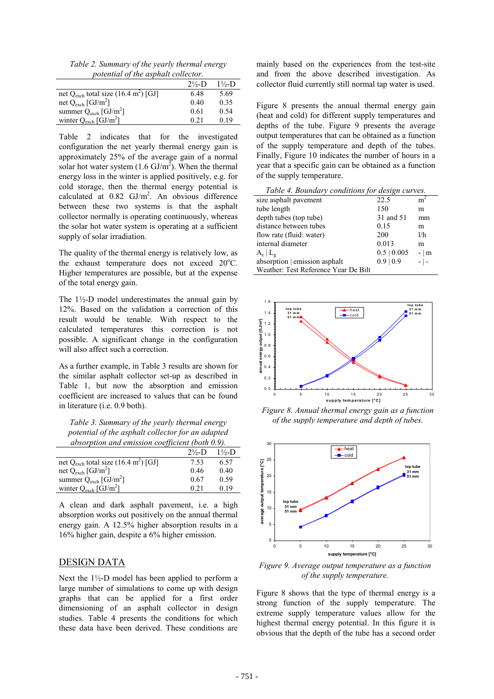*Table 2. Summary of the yearly thermal energy potential of the asphalt collector.*

|                                                              | $2\frac{1}{2}$ D | $1\frac{1}{2}$ D |
|--------------------------------------------------------------|------------------|------------------|
| net Q <sub>exch</sub> total size (16.4 m <sup>2</sup> ) [GJ] | 6.48             | 5.69             |
| net $Q_{\text{exch}}$ [GJ/m <sup>2</sup> ]                   | 0.40             | 0.35             |
| summer $Q_{\text{exch}}$ [GJ/m <sup>2</sup> ]                | 0.61             | 0.54             |
| winter $Q_{\text{exch}}$ [GJ/m <sup>2</sup> ]                | 0.21             | በ 19             |

Table 2 indicates that for the investigated configuration the net yearly thermal energy gain is approximately 25% of the average gain of a normal solar hot water system  $(1.6 \text{ GJ/m}^2)$ . When the thermal energy loss in the winter is applied positively, e.g. for cold storage, then the thermal energy potential is calculated at  $0.82 \text{ GJ/m}^2$ . An obvious difference between these two systems is that the asphalt collector normally is operating continuously, whereas the solar hot water system is operating at a sufficient supply of solar irradiation.

The quality of the thermal energy is relatively low, as the exhaust temperature does not exceed 20°C. Higher temperatures are possible, but at the expense of the total energy gain.

The  $1\frac{1}{2}$ -D model underestimates the annual gain by 12%. Based on the validation a correction of this result would be tenable. With respect to the calculated temperatures this correction is not possible. A significant change in the configuration will also affect such a correction.

As a further example, in Table 3 results are shown for the similar asphalt collector set-up as described in Table 1, but now the absorption and emission coefficient are increased to values that can be found in literature (i.e. 0.9 both).

*Table 3. Summary of the yearly thermal energy potential of the asphalt collector for an adapted absorption and emission coefficient (both 0.9).*

|                                                            | $2\frac{1}{2}$ D | $1\frac{1}{2}$ D |
|------------------------------------------------------------|------------------|------------------|
| net Q <sub>exch</sub> total size $(16.4 \text{ m}^2)$ [GJ] | 7.53             | 6.57             |
| net $Q_{\text{exch}}$ [GJ/m <sup>2</sup> ]                 | 0.46             | 0.40             |
| summer $Q_{\text{exch}}$ [GJ/m <sup>2</sup> ]              | 0.67             | 0.59             |
| winter $Q_{\text{exch}}$ [GJ/m <sup>2</sup> ]              | 0.21             | 0.19             |

A clean and dark asphalt pavement, i.e. a high absorption works out positively on the annual thermal energy gain. A 12.5% higher absorption results in a 16% higher gain, despite a 6% higher emission.

# DESIGN DATA

Next the  $1\frac{1}{2}$ -D model has been applied to perform a large number of simulations to come up with design graphs that can be applied for a first order dimensioning of an asphalt collector in design studies. Table 4 presents the conditions for which these data have been derived. These conditions are mainly based on the experiences from the test-site and from the above described investigation. As collector fluid currently still normal tap water is used.

Figure 8 presents the annual thermal energy gain (heat and cold) for different supply temperatures and depths of the tube. Figure 9 presents the average output temperatures that can be obtained as a function of the supply temperature and depth of the tubes. Finally, Figure 10 indicates the number of hours in a year that a specific gain can be obtained as a function of the supply temperature.

| Table 4. Boundary conditions for design curves. |                  |                |  |  |
|-------------------------------------------------|------------------|----------------|--|--|
| size asphalt pavement                           | 22.5             | m <sup>2</sup> |  |  |
| tube length                                     | 150              | m              |  |  |
| depth tubes (top tube)                          | 31 and 51        | mm             |  |  |
| distance between tubes                          | 0.15             | m              |  |  |
| flow rate (fluid: water)                        | 200              | 1/h            |  |  |
| internal diameter                               | 0.013            | m              |  |  |
| $A_c   L_g$                                     | $0.5 \mid 0.005$ | $- \mid m$     |  |  |
| absorption   emission asphalt                   | $0.9 \mid 0.9$   | $ \vert$ $-$   |  |  |
| Weather: Test Reference Year De Bilt            |                  |                |  |  |



*Figure 8. Annual thermal energy gain as a function of the supply temperature and depth of tubes.*



*Figure 9. Average output temperature as a function of the supply temperature.*

Figure 8 shows that the type of thermal energy is a strong function of the supply temperature. The extreme supply temperature values allow for the highest thermal energy potential. In this figure it is obvious that the depth of the tube has a second order